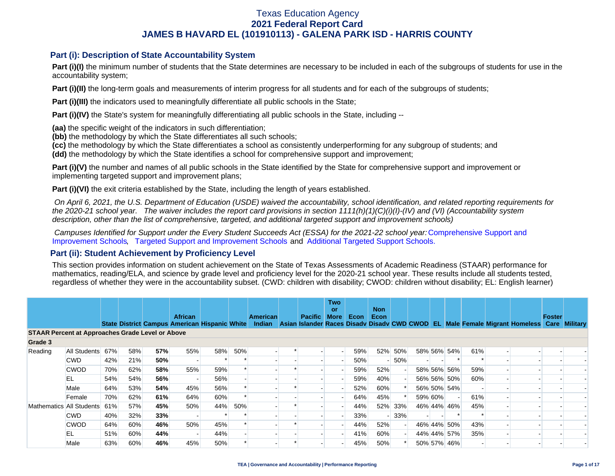### **Part (i): Description of State Accountability System**

Part (i)(I) the minimum number of students that the State determines are necessary to be included in each of the subgroups of students for use in the accountability system;

**Part (i)(II)** the long-term goals and measurements of interim progress for all students and for each of the subgroups of students;

**Part (i)(III)** the indicators used to meaningfully differentiate all public schools in the State;

**Part (i)(IV)** the State's system for meaningfully differentiating all public schools in the State, including --

**(aa)** the specific weight of the indicators in such differentiation;

**(bb)** the methodology by which the State differentiates all such schools;

**(cc)** the methodology by which the State differentiates a school as consistently underperforming for any subgroup of students; and

**(dd)** the methodology by which the State identifies a school for comprehensive support and improvement;

**Part (i)(V)** the number and names of all public schools in the State identified by the State for comprehensive support and improvement or implementing targeted support and improvement plans;

**Part (i)(VI)** the exit criteria established by the State, including the length of years established.

 *On April 6, 2021, the U.S. Department of Education (USDE) waived the accountability, school identification, and related reporting requirements for the 2020-21 school year. The waiver includes the report card provisions in section 1111(h)(1)(C)(i)(I)-(IV) and (VI) (Accountability system description, other than the list of comprehensive, targeted, and additional targeted support and improvement schools)* 

*Campuses Identified for Support under the Every Student Succeeds Act (ESSA) for the 2021-22 school year:* [Comprehensive Support and](https://tea.texas.gov/sites/default/files/comprehensive_support_2021.xlsx) [Improvement Schools](https://tea.texas.gov/sites/default/files/comprehensive_support_2021.xlsx), [Targeted Support and Improvement Schools](https://tea.texas.gov/sites/default/files/targeted_support_2021.xlsx) and [Additional Targeted Support Schools.](https://tea.texas.gov/sites/default/files/additional_targeted_support_2021.xlsx)

### **Part (ii): Student Achievement by Proficiency Level**

This section provides information on student achievement on the State of Texas Assessments of Academic Readiness (STAAR) performance for mathematics, reading/ELA, and science by grade level and proficiency level for the 2020-21 school year. These results include all students tested, regardless of whether they were in the accountability subset. (CWD: children with disability; CWOD: children without disability; EL: English learner)

|                                                         |              |                                 |     |     | <b>African</b> |     |     | <b>American</b> | <b>Pacific</b> | <b>Two</b><br>or<br>More | Econ | <b>Non</b><br>Econ |     |         |             |     |                                                                                                                                                | Foster |  |
|---------------------------------------------------------|--------------|---------------------------------|-----|-----|----------------|-----|-----|-----------------|----------------|--------------------------|------|--------------------|-----|---------|-------------|-----|------------------------------------------------------------------------------------------------------------------------------------------------|--------|--|
|                                                         |              |                                 |     |     |                |     |     |                 |                |                          |      |                    |     |         |             |     | State District Campus American Hispanic White Indian Asian Islander Races Disady Disady CWD CWOD EL Male Female Migrant Homeless Care Military |        |  |
| <b>STAAR Percent at Approaches Grade Level or Above</b> |              |                                 |     |     |                |     |     |                 |                |                          |      |                    |     |         |             |     |                                                                                                                                                |        |  |
| Grade 3                                                 |              |                                 |     |     |                |     |     |                 |                |                          |      |                    |     |         |             |     |                                                                                                                                                |        |  |
| Reading                                                 | All Students | 67%                             | 58% | 57% | 55%            | 58% | 50% |                 |                |                          | 59%  | 52%                | 50% |         | 58% 56% 54% | 61% |                                                                                                                                                |        |  |
|                                                         | <b>CWD</b>   | 42%                             | 21% | 50% |                |     |     |                 |                |                          | 50%  |                    | 50% |         |             |     |                                                                                                                                                |        |  |
|                                                         | <b>CWOD</b>  | 70%                             | 62% | 58% | 55%            | 59% |     |                 |                |                          | 59%  | 52%                |     |         | 58% 56% 56% | 59% |                                                                                                                                                |        |  |
|                                                         | EL           | 54%                             | 54% | 56% |                | 56% |     |                 |                |                          | 59%  | 40%                |     |         | 56% 56% 50% | 60% |                                                                                                                                                |        |  |
|                                                         | Male         | 53%<br>56%<br>64%<br>54%<br>45% |     |     |                | 52% | 60% |                 |                | 56% 50% 54%              |      |                    |     |         |             |     |                                                                                                                                                |        |  |
|                                                         | Female       | 70%                             | 62% | 61% | 64%            | 60% |     |                 |                |                          | 64%  | 45%                |     | 59% 60% |             | 61% |                                                                                                                                                |        |  |
| Mathematics All Students                                |              | 61%                             | 57% | 45% | 50%            | 44% | 50% |                 |                |                          | 44%  | 52%                | 33% |         | 46% 44% 46% | 45% |                                                                                                                                                |        |  |
|                                                         | <b>CWD</b>   | 40%                             | 32% | 33% |                |     |     |                 |                |                          | 33%  |                    | 33% |         |             |     |                                                                                                                                                |        |  |
|                                                         | <b>CWOD</b>  | 64%                             | 60% | 46% | 50%            | 45% |     |                 |                |                          | 44%  | 52%                |     |         | 46% 44% 50% | 43% |                                                                                                                                                |        |  |
|                                                         | EL           | 51%                             | 60% | 44% |                | 44% |     |                 |                |                          | 41%  | 60%                |     |         | 44% 44% 57% | 35% |                                                                                                                                                |        |  |
|                                                         | Male         | 63%                             | 60% | 46% | 45%            | 50% |     |                 |                |                          | 45%  | 50%                |     |         | 50% 57% 46% |     |                                                                                                                                                |        |  |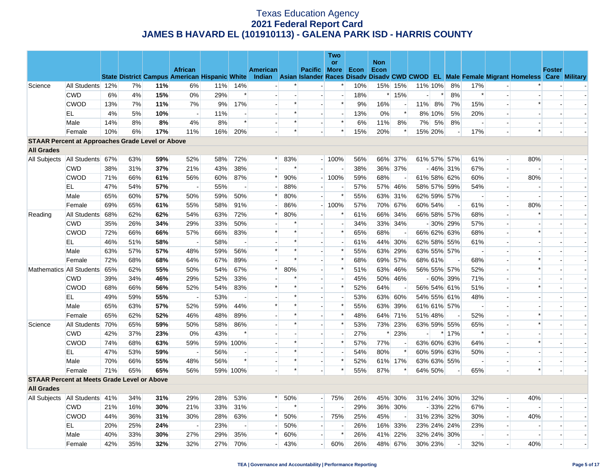|                                                         |                                 |     |     |     |                                                                        |     |                          |          |        |                          | <b>Two</b>               |      |            |                |         |                              |             |                          |                          |                                                                                                  |               |  |
|---------------------------------------------------------|---------------------------------|-----|-----|-----|------------------------------------------------------------------------|-----|--------------------------|----------|--------|--------------------------|--------------------------|------|------------|----------------|---------|------------------------------|-------------|--------------------------|--------------------------|--------------------------------------------------------------------------------------------------|---------------|--|
|                                                         |                                 |     |     |     |                                                                        |     |                          |          |        |                          | or                       |      | <b>Non</b> |                |         |                              |             |                          |                          |                                                                                                  |               |  |
|                                                         |                                 |     |     |     | <b>African</b><br><b>State District Campus American Hispanic White</b> |     |                          | American |        | <b>Pacific More</b>      |                          | Econ | Econ       |                |         |                              |             |                          |                          | Indian Asian Islander Races Disady Disady CWD CWOD EL Male Female Migrant Homeless Care Military | <b>Foster</b> |  |
| Science                                                 | All Students 12%                |     | 7%  | 11% | 6%                                                                     | 11% | 14%                      |          |        | $\overline{\phantom{a}}$ | $\ast$                   | 10%  |            | 15% 15%        |         | 11% 10%                      | 8%          | 17%                      |                          |                                                                                                  |               |  |
|                                                         | <b>CWD</b>                      | 6%  | 4%  | 15% | 0%                                                                     | 29% | $\ast$                   |          |        |                          | $\blacksquare$           | 18%  |            | * 15%          |         | $\left\vert \ast\right\vert$ | 8%          | $\ast$                   |                          |                                                                                                  |               |  |
|                                                         | <b>CWOD</b>                     | 13% | 7%  | 11% | 7%                                                                     | 9%  | 17%                      |          | $\ast$ | $\overline{\phantom{a}}$ | $\ast$                   | 9%   | 16%        |                | 11%     | 8%                           | 7%          | 15%                      |                          | $\ast$                                                                                           |               |  |
|                                                         | EL                              | 4%  | 5%  | 10% | $\overline{\phantom{a}}$                                               | 11% |                          |          | $\ast$ | $\overline{a}$           | $\overline{a}$           | 13%  | 0%         | $\ast$         |         | 8% 10%                       | 5%          | 20%                      |                          |                                                                                                  |               |  |
|                                                         | Male                            | 14% | 8%  | 8%  | 4%                                                                     | 8%  | $\ast$                   |          | $\ast$ | $\blacksquare$           | $\ast$                   | 6%   | 11%        | 8%             | 7%      | 5%                           | 8%          |                          |                          |                                                                                                  |               |  |
|                                                         | Female                          | 10% | 6%  | 17% | 11%                                                                    | 16% | 20%                      |          | $\ast$ |                          | $\ast$                   | 15%  | 20%        | $\ast$         | 15% 20% |                              |             | 17%                      |                          | $\ast$                                                                                           |               |  |
| <b>STAAR Percent at Approaches Grade Level or Above</b> |                                 |     |     |     |                                                                        |     |                          |          |        |                          |                          |      |            |                |         |                              |             |                          |                          |                                                                                                  |               |  |
| <b>All Grades</b>                                       |                                 |     |     |     |                                                                        |     |                          |          |        |                          |                          |      |            |                |         |                              |             |                          |                          |                                                                                                  |               |  |
| All Subjects                                            | All Students 67%                |     | 63% | 59% | 52%                                                                    | 58% | 72%                      | $\ast$   | 83%    |                          | $-100%$                  | 56%  |            | 66% 37%        |         |                              | 61% 57% 57% | 61%                      |                          | 80%                                                                                              |               |  |
|                                                         | <b>CWD</b>                      | 38% | 31% | 37% | 21%                                                                    | 43% | 38%                      |          | $\ast$ |                          | $\overline{\phantom{a}}$ | 38%  |            | 36% 37%        |         |                              | $-46\%$ 31% | 67%                      |                          |                                                                                                  |               |  |
|                                                         | <b>CWOD</b>                     | 71% | 66% | 61% | 56%                                                                    | 60% | 87%                      | $\ast$   | 90%    |                          | $-100%$                  | 59%  | 68%        | $\overline{a}$ |         |                              | 61% 58% 62% | 60%                      | $\overline{\phantom{a}}$ | 80%                                                                                              |               |  |
|                                                         | EL                              | 47% | 54% | 57% | $\overline{\phantom{a}}$                                               | 55% | $\overline{\phantom{a}}$ |          | 88%    | $\blacksquare$           | $\overline{\phantom{a}}$ | 57%  |            | 57% 46%        |         |                              | 58% 57% 59% | 54%                      |                          |                                                                                                  |               |  |
|                                                         | Male                            | 65% | 60% | 57% | 50%                                                                    | 59% | 50%                      | $\ast$   | 80%    | $\overline{\phantom{a}}$ | $\ast$                   | 55%  |            | 63% 31%        |         |                              | 62% 59% 57% | $\overline{a}$           |                          |                                                                                                  |               |  |
|                                                         | Female                          | 69% | 65% | 61% | 55%                                                                    | 58% | 91%                      |          | 86%    |                          | $-100%$                  | 57%  |            | 70% 67%        |         | 60% 54%                      |             | 61%                      |                          | 80%                                                                                              |               |  |
| Reading                                                 | All Students                    | 68% | 62% | 62% | 54%                                                                    | 63% | 72%                      | $\ast$   | 80%    | $\overline{\phantom{a}}$ | ∗                        | 61%  |            | 66% 34%        |         |                              | 66% 58% 57% | 68%                      |                          |                                                                                                  |               |  |
|                                                         | <b>CWD</b>                      | 35% | 26% | 34% | 29%                                                                    | 33% | 50%                      |          | $\ast$ |                          | $\sim$                   | 34%  |            | 33% 34%        |         |                              | $-30\%$ 29% | 57%                      |                          |                                                                                                  |               |  |
|                                                         | <b>CWOD</b>                     | 72% | 66% | 66% | 57%                                                                    | 66% | 83%                      |          | $\ast$ | $\overline{\phantom{a}}$ | $\ast$                   | 65%  | 68%        |                |         |                              | 66% 62% 63% | 68%                      |                          | $\ast$                                                                                           |               |  |
|                                                         | EL                              | 46% | 51% | 58% | $\overline{\phantom{a}}$                                               | 58% | $\blacksquare$           |          | $\ast$ |                          | $\blacksquare$           | 61%  |            | 44% 30%        |         |                              | 62% 58% 55% | 61%                      |                          |                                                                                                  |               |  |
|                                                         | Male                            | 63% | 57% | 57% | 48%                                                                    | 59% | 56%                      | $\ast$   | *      | $\sim$                   | $\ast$                   | 55%  | 63%        | 29%            |         |                              | 63% 55% 57% | $\overline{\phantom{a}}$ |                          |                                                                                                  |               |  |
|                                                         | Female                          | 72% | 68% | 68% | 64%                                                                    | 67% | 89%                      |          | $\ast$ | $\overline{a}$           | $\ast$                   | 68%  |            | 69% 57%        |         | 68% 61%                      |             | 68%                      |                          | $\ast$                                                                                           |               |  |
|                                                         | Mathematics All Students        | 65% | 62% | 55% | 50%                                                                    | 54% | 67%                      | $\ast$   | 80%    | $\overline{\phantom{a}}$ | $\ast$                   | 51%  |            | 63% 46%        |         |                              | 56% 55% 57% | 52%                      |                          | $\ast$                                                                                           |               |  |
|                                                         | <b>CWD</b>                      | 39% | 34% | 46% | 29%                                                                    | 52% | 33%                      |          | $\ast$ | $\sim$                   | $\sim$                   | 45%  |            | 50% 46%        |         |                              | $-60\%$ 39% | 71%                      |                          |                                                                                                  |               |  |
|                                                         | <b>CWOD</b>                     | 68% | 66% | 56% | 52%                                                                    | 54% | 83%                      | $\ast$   | $\ast$ |                          | $\ast$                   | 52%  | 64%        |                |         |                              | 56% 54% 61% | 51%                      |                          | $\ast$                                                                                           |               |  |
|                                                         | EL.                             | 49% | 59% | 55% | $\overline{a}$                                                         | 53% | $\overline{\phantom{a}}$ |          | $\ast$ | $\blacksquare$           | $\blacksquare$           | 53%  |            | 63% 60%        |         |                              | 54% 55% 61% | 48%                      |                          |                                                                                                  |               |  |
|                                                         | Male                            | 65% | 63% | 57% | 52%                                                                    | 59% | 44%                      | $\ast$   | $\ast$ | $\sim$                   | $\ast$                   | 55%  | 63%        | 39%            |         |                              | 61% 61% 57% | $\overline{\phantom{a}}$ |                          |                                                                                                  |               |  |
|                                                         | Female                          | 65% | 62% | 52% | 46%                                                                    | 48% | 89%                      |          | $\ast$ | $\blacksquare$           | $\ast$                   | 48%  | 64%        | 71%            |         | 51% 48%                      |             | 52%                      |                          |                                                                                                  |               |  |
| Science                                                 | All Students                    | 70% | 65% | 59% | 50%                                                                    | 58% | 86%                      |          | $\ast$ | $\overline{a}$           | $\ast$                   | 53%  |            | 73% 23%        |         |                              | 63% 59% 55% | 65%                      |                          | $\ast$                                                                                           |               |  |
|                                                         | <b>CWD</b>                      | 42% | 37% | 23% | 0%                                                                     | 43% | $\ast$                   |          |        | $\overline{\phantom{a}}$ | $\overline{\phantom{a}}$ | 27%  | $\ast$     | 23%            |         |                              | $*17%$      | $\ast$                   |                          |                                                                                                  |               |  |
|                                                         | <b>CWOD</b>                     | 74% | 68% | 63% | 59%                                                                    |     | 59% 100%                 |          | $\ast$ | $\sim$                   | $\ast$                   | 57%  | 77%        | $\sim$         |         |                              | 63% 60% 63% | 64%                      |                          | $\ast$                                                                                           |               |  |
|                                                         | EL                              | 47% | 53% | 59% | $\overline{\phantom{a}}$                                               | 56% |                          |          | $\ast$ |                          | $\overline{\phantom{a}}$ | 54%  | 80%        | $\ast$         |         |                              | 60% 59% 63% | 50%                      |                          |                                                                                                  |               |  |
|                                                         | Male                            | 70% | 66% | 55% | 48%                                                                    | 56% | $\ast$                   |          | $\ast$ | $\overline{\phantom{a}}$ | $\ast$                   | 52%  |            | 61% 17%        |         |                              | 63% 63% 55% | $\overline{\phantom{a}}$ | $\overline{\phantom{a}}$ |                                                                                                  |               |  |
|                                                         | Female                          | 71% | 65% | 65% | 56%                                                                    |     | 59% 100%                 |          | $\ast$ |                          | $\ast$                   | 55%  | 87%        | $\ast$         |         | 64% 50%                      |             | 65%                      |                          | $\ast$                                                                                           |               |  |
| <b>STAAR Percent at Meets Grade Level or Above</b>      |                                 |     |     |     |                                                                        |     |                          |          |        |                          |                          |      |            |                |         |                              |             |                          |                          |                                                                                                  |               |  |
| <b>All Grades</b>                                       |                                 |     |     |     |                                                                        |     |                          |          |        |                          |                          |      |            |                |         |                              |             |                          |                          |                                                                                                  |               |  |
|                                                         | All Subjects   All Students 41% |     | 34% | 31% | 29%                                                                    | 28% | 53%                      | $\ast$   | 50%    | $\overline{a}$           | 75%                      | 26%  |            | 45% 30%        |         |                              | 31% 24% 30% | 32%                      | $\overline{a}$           | 40%                                                                                              |               |  |
|                                                         | <b>CWD</b>                      | 21% | 16% | 30% | 21%                                                                    | 33% | 31%                      |          | $\ast$ | $\overline{a}$           | $\sim$                   | 29%  |            | 36% 30%        |         |                              | $-33\%$ 22% | 67%                      |                          |                                                                                                  |               |  |
|                                                         | <b>CWOD</b>                     | 44% | 36% | 31% | 30%                                                                    | 28% | 63%                      |          | 50%    | $\overline{\phantom{0}}$ | 75%                      | 25%  | 45%        |                |         |                              | 31% 23% 32% | 30%                      |                          | 40%                                                                                              |               |  |
|                                                         | EL.                             | 20% | 25% | 24% | $\overline{\phantom{a}}$                                               | 23% | $\overline{\phantom{a}}$ |          | 50%    | $\sim$                   | $\overline{\phantom{a}}$ | 26%  |            | 16% 33%        |         |                              | 23% 24% 24% | 23%                      |                          |                                                                                                  |               |  |
|                                                         | Male                            | 40% | 33% | 30% | 27%                                                                    | 29% | 35%                      | *        | 60%    |                          | $\ast$                   | 26%  |            | 41% 22%        |         |                              | 32% 24% 30% |                          |                          |                                                                                                  |               |  |
|                                                         | Female                          | 42% | 35% | 32% | 32%                                                                    | 27% | 70%                      |          | 43%    | $\overline{a}$           | 60%                      | 26%  |            | 48% 67%        |         | 30% 23%                      |             | 32%                      |                          | 40%                                                                                              |               |  |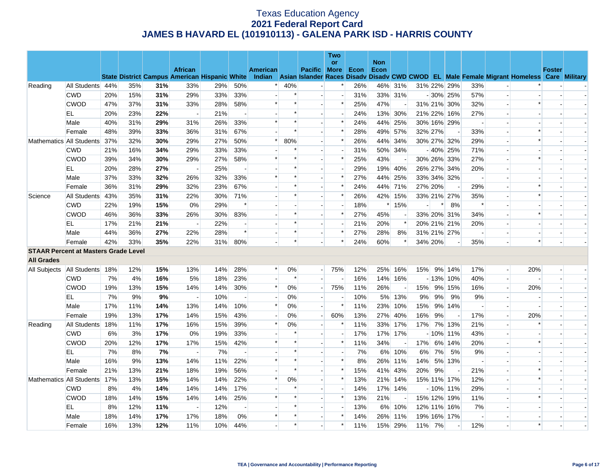|                   |                                             |     |     |     |                                                      |     |                          |                          |        |                | Two                      |      |                    |         |     |         |                          |                          |                          |                                                                                           |               |  |
|-------------------|---------------------------------------------|-----|-----|-----|------------------------------------------------------|-----|--------------------------|--------------------------|--------|----------------|--------------------------|------|--------------------|---------|-----|---------|--------------------------|--------------------------|--------------------------|-------------------------------------------------------------------------------------------|---------------|--|
|                   |                                             |     |     |     | <b>African</b>                                       |     |                          | <b>American</b>          |        | Pacific More   | <b>or</b>                | Econ | <b>Non</b><br>Econ |         |     |         |                          |                          |                          |                                                                                           | <b>Foster</b> |  |
|                   |                                             |     |     |     | <b>State District Campus American Hispanic White</b> |     |                          | <b>Indian</b>            |        |                |                          |      |                    |         |     |         |                          |                          |                          | Asian Islander Races Disady Disady CWD CWOD EL Male Female Migrant Homeless Care Military |               |  |
| Reading           | All Students 44%                            |     | 35% | 31% | 33%                                                  | 29% | 50%                      | $\ast$                   | 40%    |                |                          | 26%  |                    | 46% 31% |     |         | 31% 22% 29%              | 33%                      |                          |                                                                                           |               |  |
|                   | <b>CWD</b>                                  | 20% | 15% | 31% | 29%                                                  | 33% | 33%                      |                          | $\ast$ |                |                          | 31%  |                    | 33% 31% |     |         | $-30\%$ 25%              | 57%                      | $\overline{\phantom{a}}$ |                                                                                           |               |  |
|                   | <b>CWOD</b>                                 | 47% | 37% | 31% | 33%                                                  | 28% | 58%                      | *                        | $\ast$ |                | $\ast$                   | 25%  | 47%                |         |     |         | 31% 21% 30%              | 32%                      | $\overline{a}$           | $\ast$                                                                                    |               |  |
|                   | EL                                          | 20% | 23% | 22% |                                                      | 21% | $\overline{\phantom{a}}$ |                          | $\ast$ |                | $\overline{a}$           | 24%  |                    | 13% 30% |     |         | 21% 22% 16%              | 27%                      | $\overline{\phantom{a}}$ |                                                                                           |               |  |
|                   | Male                                        | 40% | 31% | 29% | 31%                                                  | 26% | 33%                      | $\ast$                   | $\ast$ |                | $\ast$                   | 24%  |                    | 44% 25% |     |         | 30% 16% 29%              |                          |                          |                                                                                           |               |  |
|                   | Female                                      | 48% | 39% | 33% | 36%                                                  | 31% | 67%                      |                          | $\ast$ |                | $\ast$                   | 28%  |                    | 49% 57% |     | 32% 27% |                          | 33%                      |                          | $\ast$                                                                                    |               |  |
|                   | Mathematics All Students                    | 37% | 32% | 30% | 29%                                                  | 27% | 50%                      | $\ast$                   | 80%    | $\blacksquare$ | $\ast$                   | 26%  | 44%                | 34%     |     |         | 30% 27% 32%              | 29%                      | $\sim$                   | $\ast$                                                                                    |               |  |
|                   | <b>CWD</b>                                  | 21% | 16% | 34% | 29%                                                  | 33% | 33%                      |                          | $\ast$ |                |                          | 31%  |                    | 50% 34% |     |         | $-40\%$ 25%              | 71%                      |                          |                                                                                           |               |  |
|                   | <b>CWOD</b>                                 | 39% | 34% | 30% | 29%                                                  | 27% | 58%                      | $\ast$                   | $\ast$ |                | $\ast$                   | 25%  | 43%                |         |     |         | 30% 26% 33%              | 27%                      | $\overline{a}$           | $\ast$                                                                                    |               |  |
|                   | EL                                          | 20% | 28% | 27% |                                                      | 25% |                          |                          |        |                |                          | 29%  |                    | 19% 40% |     |         | 26% 27% 34%              | 20%                      |                          |                                                                                           |               |  |
|                   | Male                                        | 37% | 33% | 32% | 26%                                                  | 32% | 33%                      | $\ast$                   | $\ast$ |                | $\ast$                   | 27%  |                    | 44% 25% |     |         | 33% 34% 32%              | $\overline{\phantom{a}}$ |                          |                                                                                           |               |  |
|                   | Female                                      | 36% | 31% | 29% | 32%                                                  | 23% | 67%                      |                          | $\ast$ |                | $\ast$                   | 24%  |                    | 44% 71% |     | 27% 20% | $\blacksquare$           | 29%                      | $\overline{\phantom{a}}$ | $\ast$                                                                                    |               |  |
| Science           | All Students                                | 43% | 35% | 31% | 22%                                                  | 30% | 71%                      |                          | $\ast$ |                | $\ast$                   | 26%  |                    | 42% 15% |     |         | 33% 21% 27%              | 35%                      |                          | $\ast$                                                                                    |               |  |
|                   | <b>CWD</b>                                  | 22% | 19% | 15% | 0%                                                   | 29% | $\ast$                   |                          |        |                |                          | 18%  |                    | $*15%$  |     | $\ast$  | 8%                       | $\ast$                   | $\overline{\phantom{a}}$ |                                                                                           |               |  |
|                   | <b>CWOD</b>                                 | 46% | 36% | 33% | 26%                                                  | 30% | 83%                      |                          | $\ast$ |                | $\ast$                   | 27%  | 45%                |         |     |         | 33% 20% 31%              | 34%                      | $\blacksquare$           | $\ast$                                                                                    |               |  |
|                   | EL                                          | 17% | 21% | 21% |                                                      | 22% |                          |                          | $\ast$ |                |                          | 21%  | 20%                | $\ast$  |     |         | 20% 21% 21%              | 20%                      |                          |                                                                                           |               |  |
|                   | Male                                        | 44% | 36% | 27% | 22%                                                  | 28% | $\ast$                   | $\overline{\phantom{a}}$ | $\ast$ | $\blacksquare$ | $\ast$                   | 27%  | 28%                | 8%      |     |         | 31% 21% 27%              | $\overline{\phantom{a}}$ | $\overline{\phantom{a}}$ |                                                                                           |               |  |
|                   | Female                                      | 42% | 33% | 35% | 22%                                                  | 31% | 80%                      |                          | $\ast$ |                | $\ast$                   | 24%  | 60%                | $\ast$  |     | 34% 20% |                          | 35%                      |                          | $\ast$                                                                                    |               |  |
|                   | <b>STAAR Percent at Masters Grade Level</b> |     |     |     |                                                      |     |                          |                          |        |                |                          |      |                    |         |     |         |                          |                          |                          |                                                                                           |               |  |
| <b>All Grades</b> |                                             |     |     |     |                                                      |     |                          |                          |        |                |                          |      |                    |         |     |         |                          |                          |                          |                                                                                           |               |  |
|                   | All Subjects   All Students                 | 18% | 12% | 15% | 13%                                                  | 14% | 28%                      | $\ast$                   | $0\%$  | $\overline{a}$ | 75%                      | 12%  |                    | 25% 16% | 15% |         | 9% 14%                   | 17%                      | $\overline{\phantom{a}}$ | 20%                                                                                       |               |  |
|                   | <b>CWD</b>                                  | 7%  | 4%  | 16% | 5%                                                   | 18% | 23%                      |                          | $\ast$ |                |                          | 16%  |                    | 14% 16% |     |         | $-13\%$ 10%              | 40%                      | $\overline{a}$           |                                                                                           |               |  |
|                   | <b>CWOD</b>                                 | 19% | 13% | 15% | 14%                                                  | 14% | 30%                      | $\ast$                   | 0%     |                | 75%                      | 11%  | 26%                |         | 15% |         | 9% 15%                   | 16%                      | $\blacksquare$           | 20%                                                                                       |               |  |
|                   | EL.                                         | 7%  | 9%  | 9%  |                                                      | 10% | $\overline{\phantom{a}}$ | $\overline{a}$           | 0%     | $\sim$         | $\overline{\phantom{a}}$ | 10%  |                    | 5% 13%  | 9%  | 9%      | 9%                       | 9%                       | $\overline{a}$           |                                                                                           |               |  |
|                   | Male                                        | 17% | 11% | 14% | 13%                                                  | 14% | 10%                      | $\ast$                   | $0\%$  |                | $\ast$                   | 11%  | 23%                | 10%     | 15% |         | 9% 14%                   | $\overline{\phantom{a}}$ | $\blacksquare$           |                                                                                           |               |  |
|                   | Female                                      | 19% | 13% | 17% | 14%                                                  | 15% | 43%                      |                          | 0%     | $\blacksquare$ | 60%                      | 13%  | 27%                | 40%     | 16% | 9%      |                          | 17%                      | $\overline{\phantom{a}}$ | 20%                                                                                       |               |  |
| Reading           | All Students                                | 18% | 11% | 17% | 16%                                                  | 15% | 39%                      | $\ast$                   | 0%     |                | $\ast$                   | 11%  | 33%                | 17%     | 17% |         | 7% 13%                   | 21%                      | $\blacksquare$           | $\ast$                                                                                    |               |  |
|                   | <b>CWD</b>                                  | 6%  | 3%  | 17% | 0%                                                   | 19% | 33%                      |                          | $\ast$ |                |                          | 17%  |                    | 17% 17% |     |         | $-10\%$ 11%              | 43%                      |                          |                                                                                           |               |  |
|                   | <b>CWOD</b>                                 | 20% | 12% | 17% | 17%                                                  | 15% | 42%                      | $\ast$                   | $\ast$ |                | $\ast$                   | 11%  | 34%                |         | 17% |         | 6% 14%                   | 20%                      | $\overline{\phantom{a}}$ | $\ast$                                                                                    |               |  |
|                   | EL                                          | 7%  | 8%  | 7%  |                                                      | 7%  |                          |                          |        |                |                          | 7%   |                    | 6% 10%  | 6%  | 7%      | 5%                       | 9%                       |                          |                                                                                           |               |  |
|                   | Male                                        | 16% | 9%  | 13% | 14%                                                  | 11% | 22%                      | $\ast$                   | $\ast$ |                | $\ast$                   | 8%   |                    | 26% 11% | 14% |         | 5% 13%                   | $\overline{\phantom{0}}$ |                          |                                                                                           |               |  |
|                   | Female                                      | 21% | 13% | 21% | 18%                                                  | 19% | 56%                      |                          | $\ast$ | $\overline{a}$ | $\ast$                   | 15%  |                    | 41% 43% | 20% | 9%      | $\overline{\phantom{a}}$ | 21%                      | $\overline{\phantom{a}}$ | $\ast$                                                                                    |               |  |
|                   | Mathematics All Students                    | 17% | 13% | 15% | 14%                                                  | 14% | 22%                      | $\ast$                   | 0%     |                | $\ast$                   | 13%  |                    | 21% 14% |     |         | 15% 11% 17%              | 12%                      |                          | $\ast$                                                                                    |               |  |
|                   | <b>CWD</b>                                  | 8%  | 4%  | 14% | 14%                                                  | 14% | 17%                      |                          | $\ast$ |                | $\overline{a}$           | 14%  |                    | 17% 14% |     |         | $-10\%$ 11%              | 29%                      | $\overline{a}$           |                                                                                           |               |  |
|                   | <b>CWOD</b>                                 | 18% | 14% | 15% | 14%                                                  | 14% | 25%                      | *                        | $\ast$ |                | $\ast$                   | 13%  | 21%                |         |     |         | 15% 12% 19%              | 11%                      |                          | $\ast$                                                                                    |               |  |
|                   | EL                                          | 8%  | 12% | 11% |                                                      | 12% |                          |                          | $\ast$ |                |                          | 13%  | 6%                 | 10%     |     |         | 12% 11% 16%              | 7%                       |                          |                                                                                           |               |  |
|                   | Male                                        | 18% | 14% | 17% | 17%                                                  | 18% | 0%                       | $\ast$                   | $\ast$ |                | $\ast$                   | 14%  | 26%                | 11%     |     |         | 19% 16% 17%              | $\overline{\phantom{a}}$ | $\overline{\phantom{a}}$ |                                                                                           |               |  |
|                   | Female                                      | 16% | 13% | 12% | 11%                                                  | 10% | 44%                      |                          | $\ast$ |                | $\ast$                   | 11%  |                    | 15% 29% | 11% | 7%      | $\overline{\phantom{a}}$ | 12%                      |                          | $\ast$                                                                                    |               |  |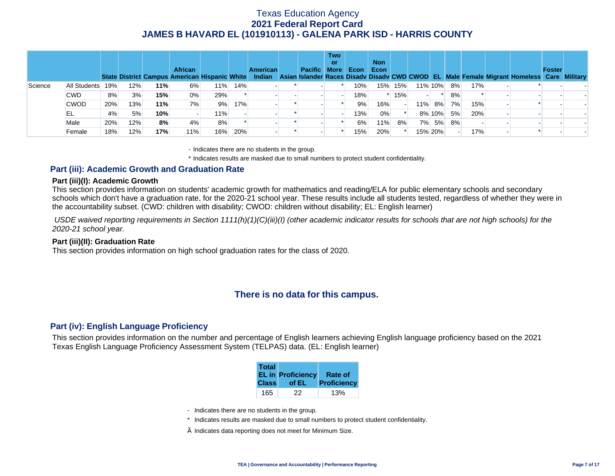|         |              |     |     |     | <b>African</b> |     |     | <b>American</b> | Pacific More | <b>Two</b><br>or | Econ | <b>Non</b><br>Econ |        |     |         |    |     |  | State District Campus American Hispanic White Indian Asian Islander Races Disady Disady CWD CWOD EL Male Female Migrant Homeless Care Military | <b>Foster</b> |  |
|---------|--------------|-----|-----|-----|----------------|-----|-----|-----------------|--------------|------------------|------|--------------------|--------|-----|---------|----|-----|--|------------------------------------------------------------------------------------------------------------------------------------------------|---------------|--|
| Science | All Students | 19% | 12% | 11% | 6%             | 11% | 14% |                 |              |                  | 10%  | 15%                | 15%    |     | 11% 10% | 8% | 17% |  |                                                                                                                                                |               |  |
|         | <b>CWD</b>   | 8%  | 3%  | 15% | 0%             | 29% |     |                 |              |                  | 18%  |                    | $*15%$ |     |         | 8% |     |  |                                                                                                                                                |               |  |
|         | <b>CWOD</b>  | 20% | 13% | 11% | 7%             | 9%  | 17% |                 |              |                  | 9%   | 16%                |        | 11% | 8%      | 7% | 15% |  |                                                                                                                                                |               |  |
|         | EL           | 4%  | 5%  | 10% |                | 11% |     |                 |              |                  | 13%  | 0%                 |        |     | 8% 10%  | 5% | 20% |  |                                                                                                                                                |               |  |
|         | Male         | 20% | 12% | 8%  | 4%             | 8%  |     |                 |              |                  | 6%   | 11%                | 8%     |     | 7% 5%   | 8% |     |  |                                                                                                                                                |               |  |
|         | Female       | 18% | 12% | 17% | 11%            | 16% | 20% |                 |              |                  | 15%  | 20%                |        |     | 15% 20% |    | 17% |  |                                                                                                                                                |               |  |

- Indicates there are no students in the group.

\* Indicates results are masked due to small numbers to protect student confidentiality.

### **Part (iii): Academic Growth and Graduation Rate**

#### **Part (iii)(I): Academic Growth**

This section provides information on students' academic growth for mathematics and reading/ELA for public elementary schools and secondary schools which don't have a graduation rate, for the 2020-21 school year. These results include all students tested, regardless of whether they were in the accountability subset. (CWD: children with disability; CWOD: children without disability; EL: English learner)

 *USDE waived reporting requirements in Section 1111(h)(1)(C)(iii)(I) (other academic indicator results for schools that are not high schools) for the 2020-21 school year.* 

#### **Part (iii)(II): Graduation Rate**

This section provides information on high school graduation rates for the class of 2020.

# **There is no data for this campus.**

### **Part (iv): English Language Proficiency**

This section provides information on the number and percentage of English learners achieving English language proficiency based on the 2021 Texas English Language Proficiency Assessment System (TELPAS) data. (EL: English learner)

| <b>Total</b> | <b>EL in Proficiency</b> | <b>Rate of</b> |
|--------------|--------------------------|----------------|
| <b>Class</b> | of EL                    | Proficiency    |
| 165          | 22                       |                |

- Indicates there are no students in the group.
- \* Indicates results are masked due to small numbers to protect student confidentiality.
- $\diamond$  Indicates data reporting does not meet for Minimum Size.